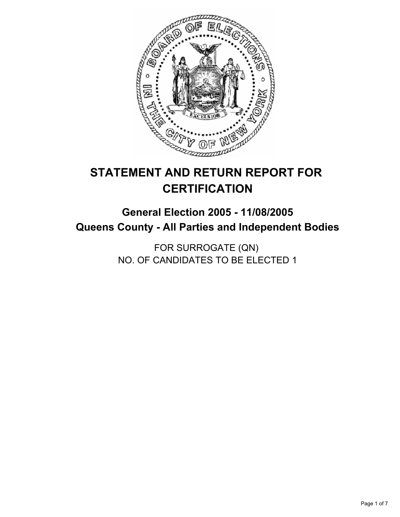

# **STATEMENT AND RETURN REPORT FOR CERTIFICATION**

## **General Election 2005 - 11/08/2005 Queens County - All Parties and Independent Bodies**

FOR SURROGATE (QN) NO. OF CANDIDATES TO BE ELECTED 1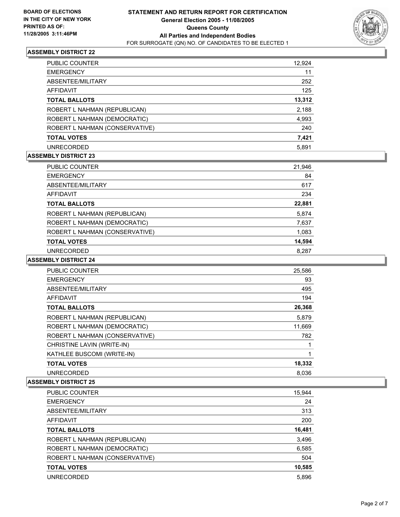

| PUBLIC COUNTER                 | 12,924 |
|--------------------------------|--------|
| <b>EMERGENCY</b>               | 11     |
| ABSENTEE/MILITARY              | 252    |
| AFFIDAVIT                      | 125    |
| <b>TOTAL BALLOTS</b>           | 13,312 |
| ROBERT L NAHMAN (REPUBLICAN)   | 2,188  |
| ROBERT L NAHMAN (DEMOCRATIC)   | 4,993  |
| ROBERT L NAHMAN (CONSERVATIVE) | 240    |
| <b>TOTAL VOTES</b>             | 7,421  |
| <b>UNRECORDED</b>              | 5.891  |

## **ASSEMBLY DISTRICT 23**

| PUBLIC COUNTER                 | 21,946 |
|--------------------------------|--------|
| <b>EMERGENCY</b>               | 84     |
| ABSENTEE/MILITARY              | 617    |
| AFFIDAVIT                      | 234    |
| <b>TOTAL BALLOTS</b>           | 22,881 |
| ROBERT L NAHMAN (REPUBLICAN)   | 5,874  |
| ROBERT L NAHMAN (DEMOCRATIC)   | 7,637  |
| ROBERT L NAHMAN (CONSERVATIVE) | 1,083  |
| <b>TOTAL VOTES</b>             | 14,594 |
| <b>UNRECORDED</b>              | 8.287  |

## **ASSEMBLY DISTRICT 24**

| <b>PUBLIC COUNTER</b>          | 25,586 |  |
|--------------------------------|--------|--|
| <b>EMERGENCY</b>               | 93     |  |
| ABSENTEE/MILITARY              | 495    |  |
| <b>AFFIDAVIT</b>               | 194    |  |
| <b>TOTAL BALLOTS</b>           | 26,368 |  |
| ROBERT L NAHMAN (REPUBLICAN)   | 5,879  |  |
| ROBERT L NAHMAN (DEMOCRATIC)   | 11,669 |  |
| ROBERT L NAHMAN (CONSERVATIVE) | 782    |  |
| CHRISTINE LAVIN (WRITE-IN)     |        |  |
| KATHLEE BUSCOMI (WRITE-IN)     |        |  |
| <b>TOTAL VOTES</b>             | 18,332 |  |
| <b>UNRECORDED</b>              | 8.036  |  |

| PUBLIC COUNTER                 | 15,944 |
|--------------------------------|--------|
| <b>EMERGENCY</b>               | 24     |
| ABSENTEE/MILITARY              | 313    |
| AFFIDAVIT                      | 200    |
| <b>TOTAL BALLOTS</b>           | 16,481 |
| ROBERT L NAHMAN (REPUBLICAN)   | 3,496  |
| ROBERT L NAHMAN (DEMOCRATIC)   | 6,585  |
| ROBERT L NAHMAN (CONSERVATIVE) | 504    |
| <b>TOTAL VOTES</b>             | 10,585 |
| <b>UNRECORDED</b>              | 5.896  |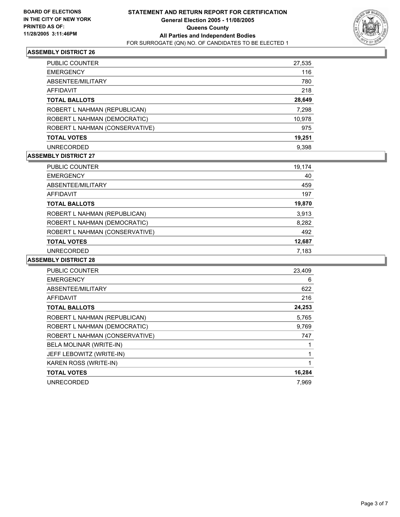

| PUBLIC COUNTER                 | 27,535 |
|--------------------------------|--------|
| <b>EMERGENCY</b>               | 116    |
| ABSENTEE/MILITARY              | 780    |
| AFFIDAVIT                      | 218    |
| <b>TOTAL BALLOTS</b>           | 28,649 |
| ROBERT L NAHMAN (REPUBLICAN)   | 7,298  |
| ROBERT L NAHMAN (DEMOCRATIC)   | 10,978 |
| ROBERT L NAHMAN (CONSERVATIVE) | 975    |
| <b>TOTAL VOTES</b>             | 19,251 |
| <b>UNRECORDED</b>              | 9.398  |

## **ASSEMBLY DISTRICT 27**

| PUBLIC COUNTER                 | 19,174 |  |
|--------------------------------|--------|--|
| <b>EMERGENCY</b>               | 40     |  |
| ABSENTEE/MILITARY              | 459    |  |
| AFFIDAVIT                      | 197    |  |
| <b>TOTAL BALLOTS</b>           | 19,870 |  |
| ROBERT L NAHMAN (REPUBLICAN)   | 3,913  |  |
| ROBERT L NAHMAN (DEMOCRATIC)   | 8,282  |  |
| ROBERT L NAHMAN (CONSERVATIVE) | 492    |  |
| <b>TOTAL VOTES</b>             | 12,687 |  |
| <b>UNRECORDED</b>              | 7.183  |  |

| <b>PUBLIC COUNTER</b>          | 23,409 |
|--------------------------------|--------|
| <b>EMERGENCY</b>               | 6      |
| ABSENTEE/MILITARY              | 622    |
| <b>AFFIDAVIT</b>               | 216    |
| <b>TOTAL BALLOTS</b>           | 24,253 |
| ROBERT L NAHMAN (REPUBLICAN)   | 5,765  |
| ROBERT L NAHMAN (DEMOCRATIC)   | 9,769  |
| ROBERT L NAHMAN (CONSERVATIVE) | 747    |
| BELA MOLINAR (WRITE-IN)        |        |
| JEFF LEBOWITZ (WRITE-IN)       |        |
| KAREN ROSS (WRITE-IN)          |        |
| <b>TOTAL VOTES</b>             | 16,284 |
| <b>UNRECORDED</b>              | 7.969  |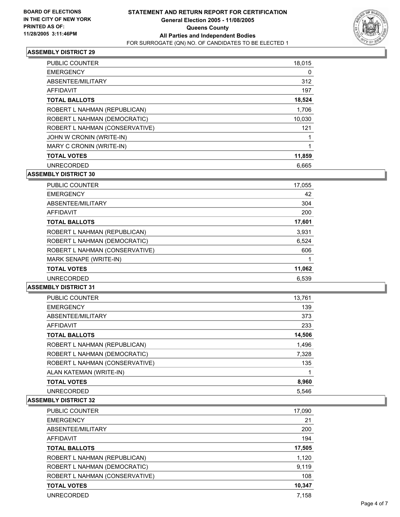

| <b>PUBLIC COUNTER</b>          | 18,015 |
|--------------------------------|--------|
| <b>EMERGENCY</b>               | 0      |
| ABSENTEE/MILITARY              | 312    |
| AFFIDAVIT                      | 197    |
| <b>TOTAL BALLOTS</b>           | 18,524 |
| ROBERT L NAHMAN (REPUBLICAN)   | 1,706  |
| ROBERT L NAHMAN (DEMOCRATIC)   | 10,030 |
| ROBERT L NAHMAN (CONSERVATIVE) | 121    |
| JOHN W CRONIN (WRITE-IN)       |        |
| MARY C CRONIN (WRITE-IN)       |        |
| <b>TOTAL VOTES</b>             | 11,859 |
| <b>UNRECORDED</b>              | 6.665  |

**ASSEMBLY DISTRICT 30**

| <b>PUBLIC COUNTER</b>          | 17,055 |  |
|--------------------------------|--------|--|
| <b>EMERGENCY</b>               | 42     |  |
| ABSENTEE/MILITARY              | 304    |  |
| AFFIDAVIT                      | 200    |  |
| <b>TOTAL BALLOTS</b>           | 17,601 |  |
| ROBERT L NAHMAN (REPUBLICAN)   | 3,931  |  |
| ROBERT L NAHMAN (DEMOCRATIC)   | 6,524  |  |
| ROBERT L NAHMAN (CONSERVATIVE) | 606    |  |
| MARK SENAPE (WRITE-IN)         |        |  |
| <b>TOTAL VOTES</b>             | 11,062 |  |
| <b>UNRECORDED</b>              | 6,539  |  |

## **ASSEMBLY DISTRICT 31**

| <b>PUBLIC COUNTER</b>          | 13,761 |
|--------------------------------|--------|
| <b>EMERGENCY</b>               | 139    |
| ABSENTEE/MILITARY              | 373    |
| AFFIDAVIT                      | 233    |
| <b>TOTAL BALLOTS</b>           | 14,506 |
| ROBERT L NAHMAN (REPUBLICAN)   | 1,496  |
| ROBERT L NAHMAN (DEMOCRATIC)   | 7,328  |
| ROBERT L NAHMAN (CONSERVATIVE) | 135    |
| ALAN KATEMAN (WRITE-IN)        |        |
| <b>TOTAL VOTES</b>             | 8,960  |
| <b>UNRECORDED</b>              | 5.546  |

| PUBLIC COUNTER                 | 17,090 |
|--------------------------------|--------|
| <b>EMERGENCY</b>               | 21     |
| ABSENTEE/MILITARY              | 200    |
| <b>AFFIDAVIT</b>               | 194    |
| <b>TOTAL BALLOTS</b>           | 17,505 |
| ROBERT L NAHMAN (REPUBLICAN)   | 1,120  |
| ROBERT L NAHMAN (DEMOCRATIC)   | 9,119  |
| ROBERT L NAHMAN (CONSERVATIVE) | 108    |
| <b>TOTAL VOTES</b>             | 10,347 |
| <b>UNRECORDED</b>              | 7,158  |
|                                |        |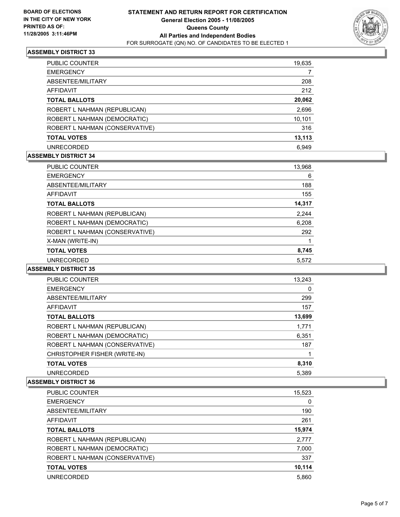

| <b>PUBLIC COUNTER</b>          | 19,635 |
|--------------------------------|--------|
| <b>EMERGENCY</b>               |        |
| ABSENTEE/MILITARY              | 208    |
| AFFIDAVIT                      | 212    |
| <b>TOTAL BALLOTS</b>           | 20,062 |
| ROBERT L NAHMAN (REPUBLICAN)   | 2,696  |
| ROBERT L NAHMAN (DEMOCRATIC)   | 10,101 |
| ROBERT L NAHMAN (CONSERVATIVE) | 316    |
| <b>TOTAL VOTES</b>             | 13,113 |
| <b>UNRECORDED</b>              | 6.949  |

## **ASSEMBLY DISTRICT 34**

| <b>PUBLIC COUNTER</b>          | 13,968 |
|--------------------------------|--------|
| <b>EMERGENCY</b>               | 6      |
| ABSENTEE/MILITARY              | 188    |
| AFFIDAVIT                      | 155    |
| <b>TOTAL BALLOTS</b>           | 14,317 |
| ROBERT L NAHMAN (REPUBLICAN)   | 2,244  |
| ROBERT L NAHMAN (DEMOCRATIC)   | 6,208  |
| ROBERT L NAHMAN (CONSERVATIVE) | 292    |
| X-MAN (WRITE-IN)               |        |
| <b>TOTAL VOTES</b>             | 8,745  |
| <b>UNRECORDED</b>              | 5,572  |

## **ASSEMBLY DISTRICT 35**

| <b>PUBLIC COUNTER</b>          | 13.243 |  |
|--------------------------------|--------|--|
| <b>EMERGENCY</b>               | 0      |  |
| ABSENTEE/MILITARY              | 299    |  |
| AFFIDAVIT                      | 157    |  |
| <b>TOTAL BALLOTS</b>           | 13,699 |  |
| ROBERT L NAHMAN (REPUBLICAN)   | 1,771  |  |
| ROBERT L NAHMAN (DEMOCRATIC)   | 6,351  |  |
| ROBERT L NAHMAN (CONSERVATIVE) | 187    |  |
| CHRISTOPHER FISHER (WRITE-IN)  |        |  |
| <b>TOTAL VOTES</b>             | 8,310  |  |
| <b>UNRECORDED</b>              | 5.389  |  |

| PUBLIC COUNTER                 | 15,523 |
|--------------------------------|--------|
| <b>EMERGENCY</b>               | 0      |
| ABSENTEE/MILITARY              | 190    |
| AFFIDAVIT                      | 261    |
| <b>TOTAL BALLOTS</b>           | 15,974 |
| ROBERT L NAHMAN (REPUBLICAN)   | 2,777  |
| ROBERT L NAHMAN (DEMOCRATIC)   | 7,000  |
| ROBERT L NAHMAN (CONSERVATIVE) | 337    |
| <b>TOTAL VOTES</b>             | 10,114 |
| <b>UNRECORDED</b>              | 5.860  |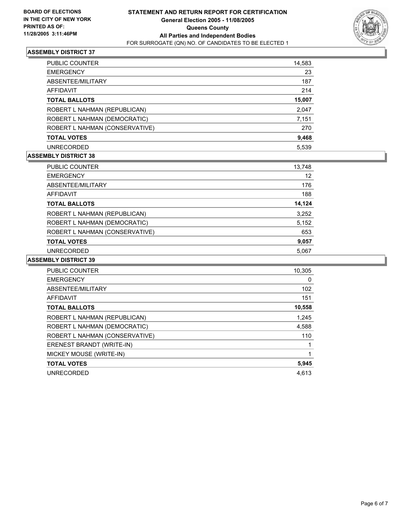

| <b>PUBLIC COUNTER</b>          | 14,583 |
|--------------------------------|--------|
| <b>EMERGENCY</b>               | 23     |
| ABSENTEE/MILITARY              | 187    |
| AFFIDAVIT                      | 214    |
| <b>TOTAL BALLOTS</b>           | 15,007 |
| ROBERT L NAHMAN (REPUBLICAN)   | 2,047  |
| ROBERT L NAHMAN (DEMOCRATIC)   | 7,151  |
| ROBERT L NAHMAN (CONSERVATIVE) | 270    |
| <b>TOTAL VOTES</b>             | 9,468  |
| <b>UNRECORDED</b>              | 5.539  |

## **ASSEMBLY DISTRICT 38**

| PUBLIC COUNTER                 | 13,748 |
|--------------------------------|--------|
| <b>EMERGENCY</b>               | 12     |
| ABSENTEE/MILITARY              | 176    |
| AFFIDAVIT                      | 188    |
| <b>TOTAL BALLOTS</b>           | 14,124 |
| ROBERT L NAHMAN (REPUBLICAN)   | 3,252  |
| ROBERT L NAHMAN (DEMOCRATIC)   | 5,152  |
| ROBERT L NAHMAN (CONSERVATIVE) | 653    |
| <b>TOTAL VOTES</b>             | 9,057  |
| <b>UNRECORDED</b>              | 5.067  |

| <b>PUBLIC COUNTER</b>          | 10,305 |
|--------------------------------|--------|
| <b>EMERGENCY</b>               | 0      |
| ABSENTEE/MILITARY              | 102    |
| AFFIDAVIT                      | 151    |
| <b>TOTAL BALLOTS</b>           | 10,558 |
| ROBERT L NAHMAN (REPUBLICAN)   | 1,245  |
| ROBERT L NAHMAN (DEMOCRATIC)   | 4,588  |
| ROBERT L NAHMAN (CONSERVATIVE) | 110    |
| ERENEST BRANDT (WRITE-IN)      |        |
| MICKEY MOUSE (WRITE-IN)        |        |
| <b>TOTAL VOTES</b>             | 5,945  |
| <b>UNRECORDED</b>              | 4.613  |